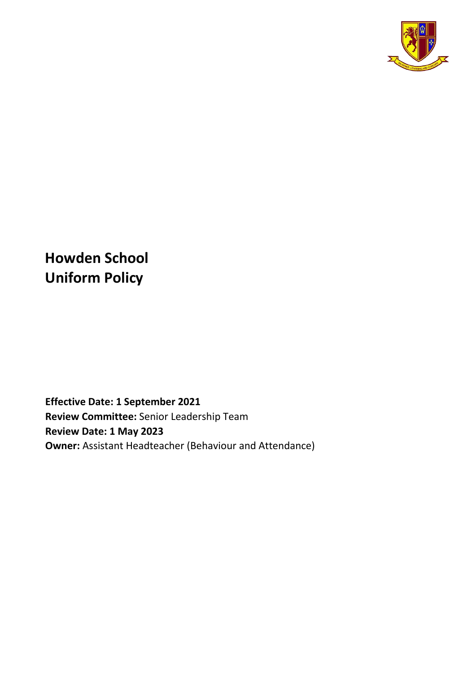

**Howden School Uniform Policy** 

**Effective Date: 1 September 2021 Review Committee:** Senior Leadership Team **Review Date: 1 May 2023 Owner:** Assistant Headteacher (Behaviour and Attendance)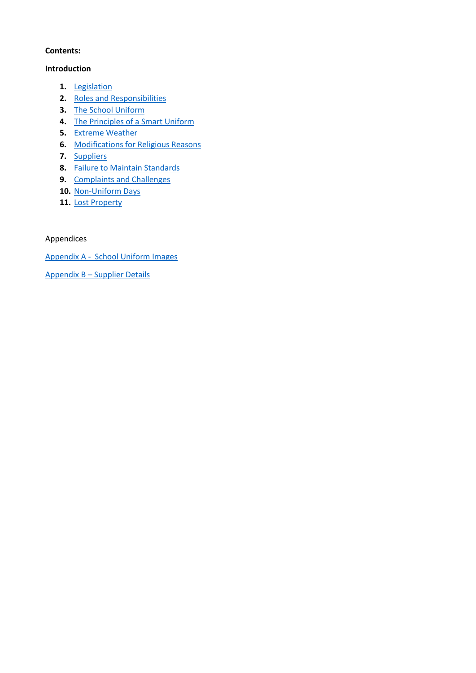### **Contents:**

#### **Introduction**

- **1.** [Legislation](#page-2-0)
- **2.** [Roles and Responsibilities](#page-2-1)
- **3.** [The School Uniform](#page-3-0)
- **4.** [The Principles of a Smart Uniform](#page-5-0)
- **5.** [Extreme Weather](#page-6-0)
- **6.** [Modifications for Religious Reasons](#page-6-1)
- **7.** [Suppliers](#page-6-2)
- **8.** [Failure to Maintain Standards](#page-6-3)
- **9.** [Complaints and Challenges](#page-7-0)
- **10.** [Non-Uniform Days](#page-7-1)
- **11.** [Lost Property](#page-7-2)

Appendices

[Appendix A - School Uniform Images](#page-8-0)

Appendix B – [Supplier Details](#page-10-0)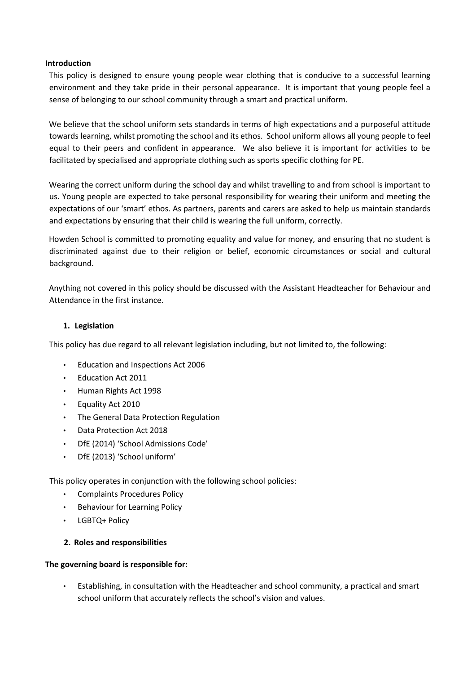#### **Introduction**

This policy is designed to ensure young people wear clothing that is conducive to a successful learning environment and they take pride in their personal appearance. It is important that young people feel a sense of belonging to our school community through a smart and practical uniform.

We believe that the school uniform sets standards in terms of high expectations and a purposeful attitude towards learning, whilst promoting the school and its ethos. School uniform allows all young people to feel equal to their peers and confident in appearance. We also believe it is important for activities to be facilitated by specialised and appropriate clothing such as sports specific clothing for PE.

Wearing the correct uniform during the school day and whilst travelling to and from school is important to us. Young people are expected to take personal responsibility for wearing their uniform and meeting the expectations of our 'smart' ethos. As partners, parents and carers are asked to help us maintain standards and expectations by ensuring that their child is wearing the full uniform, correctly.

Howden School is committed to promoting equality and value for money, and ensuring that no student is discriminated against due to their religion or belief, economic circumstances or social and cultural background.

Anything not covered in this policy should be discussed with the Assistant Headteacher for Behaviour and Attendance in the first instance.

### <span id="page-2-0"></span>**1. Legislation**

This policy has due regard to all relevant legislation including, but not limited to, the following:

- Education and Inspections Act 2006
- Education Act 2011
- Human Rights Act 1998
- Equality Act 2010
- The General Data Protection Regulation
- Data Protection Act 2018
- DfE (2014) 'School Admissions Code'
- DfE (2013) 'School uniform'

This policy operates in conjunction with the following school policies:

- Complaints Procedures Policy
- Behaviour for Learning Policy
- LGBTQ+ Policy

### <span id="page-2-1"></span>**2. Roles and responsibilities**

#### **The governing board is responsible for:**

• Establishing, in consultation with the Headteacher and school community, a practical and smart school uniform that accurately reflects the school's vision and values.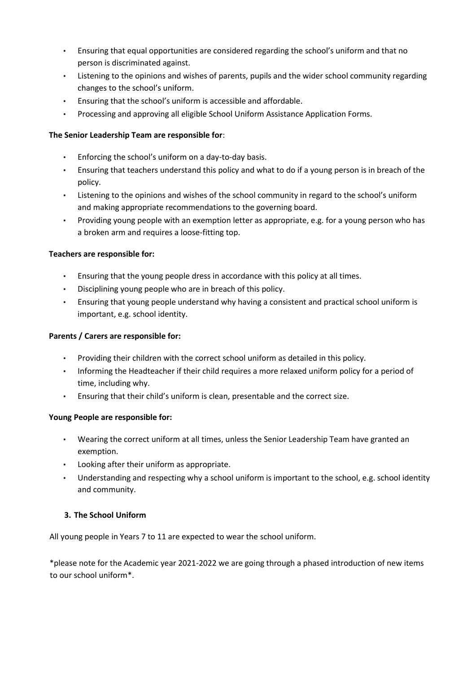- Ensuring that equal opportunities are considered regarding the school's uniform and that no person is discriminated against.
- Listening to the opinions and wishes of parents, pupils and the wider school community regarding changes to the school's uniform.
- Ensuring that the school's uniform is accessible and affordable.
- Processing and approving all eligible School Uniform Assistance Application Forms.

# **The Senior Leadership Team are responsible for**:

- Enforcing the school's uniform on a day-to-day basis.
- Ensuring that teachers understand this policy and what to do if a young person is in breach of the policy.
- Listening to the opinions and wishes of the school community in regard to the school's uniform and making appropriate recommendations to the governing board.
- Providing young people with an exemption letter as appropriate, e.g. for a young person who has a broken arm and requires a loose-fitting top.

## **Teachers are responsible for:**

- Ensuring that the young people dress in accordance with this policy at all times.
- Disciplining young people who are in breach of this policy.
- Ensuring that young people understand why having a consistent and practical school uniform is important, e.g. school identity.

## **Parents / Carers are responsible for:**

- Providing their children with the correct school uniform as detailed in this policy.
- Informing the Headteacher if their child requires a more relaxed uniform policy for a period of time, including why.
- Ensuring that their child's uniform is clean, presentable and the correct size.

### **Young People are responsible for:**

- Wearing the correct uniform at all times, unless the Senior Leadership Team have granted an exemption.
- Looking after their uniform as appropriate.
- Understanding and respecting why a school uniform is important to the school, e.g. school identity and community.

# <span id="page-3-0"></span>**3. The School Uniform**

All young people in Years 7 to 11 are expected to wear the school uniform.

\*please note for the Academic year 2021-2022 we are going through a phased introduction of new items to our school uniform\*.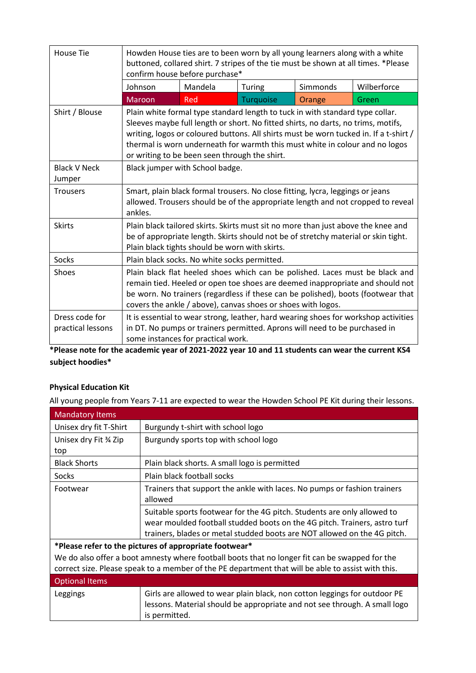| <b>House Tie</b>                    | Howden House ties are to been worn by all young learners along with a white<br>buttoned, collared shirt. 7 stripes of the tie must be shown at all times. *Please<br>confirm house before purchase*                                                                                                                                                                                          |         |           |          |             |
|-------------------------------------|----------------------------------------------------------------------------------------------------------------------------------------------------------------------------------------------------------------------------------------------------------------------------------------------------------------------------------------------------------------------------------------------|---------|-----------|----------|-------------|
|                                     | Johnson                                                                                                                                                                                                                                                                                                                                                                                      | Mandela | Turing    | Simmonds | Wilberforce |
|                                     | Maroon                                                                                                                                                                                                                                                                                                                                                                                       | Red     | Turquoise | Orange   | Green       |
| Shirt / Blouse                      | Plain white formal type standard length to tuck in with standard type collar.<br>Sleeves maybe full length or short. No fitted shirts, no darts, no trims, motifs,<br>writing, logos or coloured buttons. All shirts must be worn tucked in. If a t-shirt /<br>thermal is worn underneath for warmth this must white in colour and no logos<br>or writing to be been seen through the shirt. |         |           |          |             |
| <b>Black V Neck</b><br>Jumper       | Black jumper with School badge.                                                                                                                                                                                                                                                                                                                                                              |         |           |          |             |
| <b>Trousers</b>                     | Smart, plain black formal trousers. No close fitting, lycra, leggings or jeans<br>allowed. Trousers should be of the appropriate length and not cropped to reveal<br>ankles.                                                                                                                                                                                                                 |         |           |          |             |
| <b>Skirts</b>                       | Plain black tailored skirts. Skirts must sit no more than just above the knee and<br>be of appropriate length. Skirts should not be of stretchy material or skin tight.<br>Plain black tights should be worn with skirts.                                                                                                                                                                    |         |           |          |             |
| <b>Socks</b>                        | Plain black socks. No white socks permitted.                                                                                                                                                                                                                                                                                                                                                 |         |           |          |             |
| <b>Shoes</b>                        | Plain black flat heeled shoes which can be polished. Laces must be black and<br>remain tied. Heeled or open toe shoes are deemed inappropriate and should not<br>be worn. No trainers (regardless if these can be polished), boots (footwear that<br>covers the ankle / above), canvas shoes or shoes with logos.                                                                            |         |           |          |             |
| Dress code for<br>practical lessons | It is essential to wear strong, leather, hard wearing shoes for workshop activities<br>in DT. No pumps or trainers permitted. Aprons will need to be purchased in<br>some instances for practical work.                                                                                                                                                                                      |         |           |          |             |

**\*Please note for the academic year of 2021-2022 year 10 and 11 students can wear the current KS4 subject hoodies\*** 

# **Physical Education Kit**

All young people from Years 7-11 are expected to wear the Howden School PE Kit during their lessons.

| <b>Mandatory Items</b>                                                                                                                                                                               |                                                                                                                                                                                                                                  |  |
|------------------------------------------------------------------------------------------------------------------------------------------------------------------------------------------------------|----------------------------------------------------------------------------------------------------------------------------------------------------------------------------------------------------------------------------------|--|
| Unisex dry fit T-Shirt                                                                                                                                                                               | Burgundy t-shirt with school logo                                                                                                                                                                                                |  |
| Unisex dry Fit % Zip                                                                                                                                                                                 | Burgundy sports top with school logo                                                                                                                                                                                             |  |
| top                                                                                                                                                                                                  |                                                                                                                                                                                                                                  |  |
| <b>Black Shorts</b>                                                                                                                                                                                  | Plain black shorts. A small logo is permitted                                                                                                                                                                                    |  |
| <b>Socks</b>                                                                                                                                                                                         | Plain black football socks                                                                                                                                                                                                       |  |
| Footwear                                                                                                                                                                                             | Trainers that support the ankle with laces. No pumps or fashion trainers<br>allowed                                                                                                                                              |  |
|                                                                                                                                                                                                      | Suitable sports footwear for the 4G pitch. Students are only allowed to<br>wear moulded football studded boots on the 4G pitch. Trainers, astro turf<br>trainers, blades or metal studded boots are NOT allowed on the 4G pitch. |  |
| *Please refer to the pictures of appropriate footwear*                                                                                                                                               |                                                                                                                                                                                                                                  |  |
| We do also offer a boot amnesty where football boots that no longer fit can be swapped for the<br>correct size. Please speak to a member of the PE department that will be able to assist with this. |                                                                                                                                                                                                                                  |  |
| <b>Optional Items</b>                                                                                                                                                                                |                                                                                                                                                                                                                                  |  |
| Leggings                                                                                                                                                                                             | Girls are allowed to wear plain black, non cotton leggings for outdoor PE<br>lessons. Material should be appropriate and not see through. A small logo<br>is permitted.                                                          |  |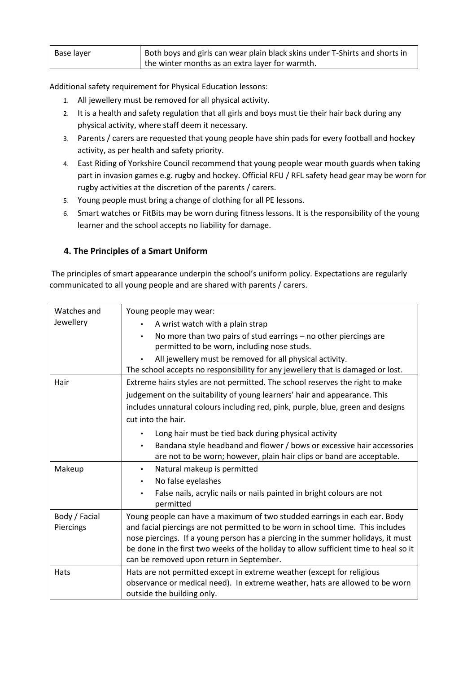| Base layer | Both boys and girls can wear plain black skins under T-Shirts and shorts in |
|------------|-----------------------------------------------------------------------------|
|            | the winter months as an extra layer for warmth.                             |

Additional safety requirement for Physical Education lessons:

- 1. All jewellery must be removed for all physical activity.
- 2. It is a health and safety regulation that all girls and boys must tie their hair back during any physical activity, where staff deem it necessary.
- 3. Parents / carers are requested that young people have shin pads for every football and hockey activity, as per health and safety priority.
- 4. East Riding of Yorkshire Council recommend that young people wear mouth guards when taking part in invasion games e.g. rugby and hockey. Official RFU / RFL safety head gear may be worn for rugby activities at the discretion of the parents / carers.
- 5. Young people must bring a change of clothing for all PE lessons.
- 6. Smart watches or FitBits may be worn during fitness lessons. It is the responsibility of the young learner and the school accepts no liability for damage.

# <span id="page-5-0"></span>**4. The Principles of a Smart Uniform**

The principles of smart appearance underpin the school's uniform policy. Expectations are regularly communicated to all young people and are shared with parents / carers.

| Watches and   | Young people may wear:                                                               |  |  |
|---------------|--------------------------------------------------------------------------------------|--|--|
| Jewellery     | A wrist watch with a plain strap                                                     |  |  |
|               | No more than two pairs of stud earrings - no other piercings are<br>$\bullet$        |  |  |
|               | permitted to be worn, including nose studs.                                          |  |  |
|               | All jewellery must be removed for all physical activity.                             |  |  |
|               | The school accepts no responsibility for any jewellery that is damaged or lost.      |  |  |
| Hair          | Extreme hairs styles are not permitted. The school reserves the right to make        |  |  |
|               | judgement on the suitability of young learners' hair and appearance. This            |  |  |
|               | includes unnatural colours including red, pink, purple, blue, green and designs      |  |  |
|               | cut into the hair.                                                                   |  |  |
|               | Long hair must be tied back during physical activity                                 |  |  |
|               | Bandana style headband and flower / bows or excessive hair accessories<br>$\bullet$  |  |  |
|               | are not to be worn; however, plain hair clips or band are acceptable.                |  |  |
| Makeup        | Natural makeup is permitted<br>$\bullet$                                             |  |  |
|               | No false eyelashes<br>$\bullet$                                                      |  |  |
|               | False nails, acrylic nails or nails painted in bright colours are not<br>$\bullet$   |  |  |
|               | permitted                                                                            |  |  |
| Body / Facial | Young people can have a maximum of two studded earrings in each ear. Body            |  |  |
| Piercings     | and facial piercings are not permitted to be worn in school time. This includes      |  |  |
|               | nose piercings. If a young person has a piercing in the summer holidays, it must     |  |  |
|               | be done in the first two weeks of the holiday to allow sufficient time to heal so it |  |  |
|               | can be removed upon return in September.                                             |  |  |
| Hats          | Hats are not permitted except in extreme weather (except for religious               |  |  |
|               | observance or medical need). In extreme weather, hats are allowed to be worn         |  |  |
|               | outside the building only.                                                           |  |  |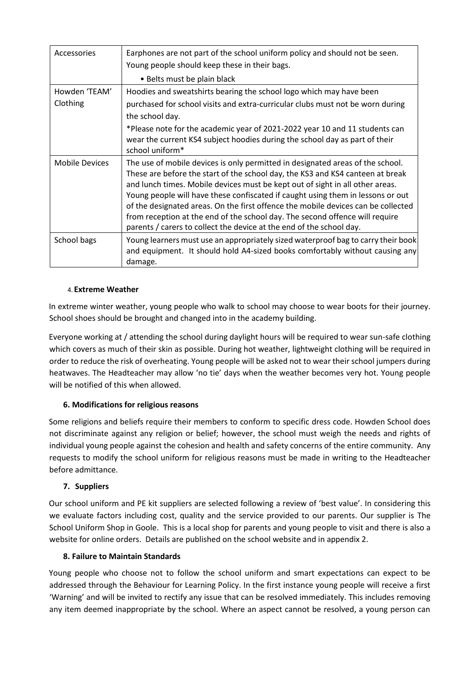| Accessories               | Earphones are not part of the school uniform policy and should not be seen.<br>Young people should keep these in their bags.                                                                                                                                                                                                                                                                                                                                                                                                                                                      |
|---------------------------|-----------------------------------------------------------------------------------------------------------------------------------------------------------------------------------------------------------------------------------------------------------------------------------------------------------------------------------------------------------------------------------------------------------------------------------------------------------------------------------------------------------------------------------------------------------------------------------|
|                           | • Belts must be plain black                                                                                                                                                                                                                                                                                                                                                                                                                                                                                                                                                       |
| Howden 'TEAM'<br>Clothing | Hoodies and sweatshirts bearing the school logo which may have been<br>purchased for school visits and extra-curricular clubs must not be worn during<br>the school day.                                                                                                                                                                                                                                                                                                                                                                                                          |
|                           | *Please note for the academic year of 2021-2022 year 10 and 11 students can<br>wear the current KS4 subject hoodies during the school day as part of their<br>school uniform*                                                                                                                                                                                                                                                                                                                                                                                                     |
| <b>Mobile Devices</b>     | The use of mobile devices is only permitted in designated areas of the school.<br>These are before the start of the school day, the KS3 and KS4 canteen at break<br>and lunch times. Mobile devices must be kept out of sight in all other areas.<br>Young people will have these confiscated if caught using them in lessons or out<br>of the designated areas. On the first offence the mobile devices can be collected<br>from reception at the end of the school day. The second offence will require<br>parents / carers to collect the device at the end of the school day. |
| School bags               | Young learners must use an appropriately sized waterproof bag to carry their book<br>and equipment. It should hold A4-sized books comfortably without causing any<br>damage.                                                                                                                                                                                                                                                                                                                                                                                                      |

### 4.**Extreme Weather**

<span id="page-6-0"></span>In extreme winter weather, young people who walk to school may choose to wear boots for their journey. School shoes should be brought and changed into in the academy building.

Everyone working at / attending the school during daylight hours will be required to wear sun-safe clothing which covers as much of their skin as possible. During hot weather, lightweight clothing will be required in order to reduce the risk of overheating. Young people will be asked not to wear their school jumpers during heatwaves. The Headteacher may allow 'no tie' days when the weather becomes very hot. Young people will be notified of this when allowed.

### **6. Modifications for religious reasons**

<span id="page-6-1"></span>Some religions and beliefs require their members to conform to specific dress code. Howden School does not discriminate against any religion or belief; however, the school must weigh the needs and rights of individual young people against the cohesion and health and safety concerns of the entire community. Any requests to modify the school uniform for religious reasons must be made in writing to the Headteacher before admittance.

### **7. Suppliers**

<span id="page-6-2"></span>Our school uniform and PE kit suppliers are selected following a review of 'best value'. In considering this we evaluate factors including cost, quality and the service provided to our parents. Our supplier is The School Uniform Shop in Goole. This is a local shop for parents and young people to visit and there is also a website for online orders. Details are published on the school website and in appendix 2.

#### **8. Failure to Maintain Standards**

<span id="page-6-3"></span>Young people who choose not to follow the school uniform and smart expectations can expect to be addressed through the Behaviour for Learning Policy. In the first instance young people will receive a first 'Warning' and will be invited to rectify any issue that can be resolved immediately. This includes removing any item deemed inappropriate by the school. Where an aspect cannot be resolved, a young person can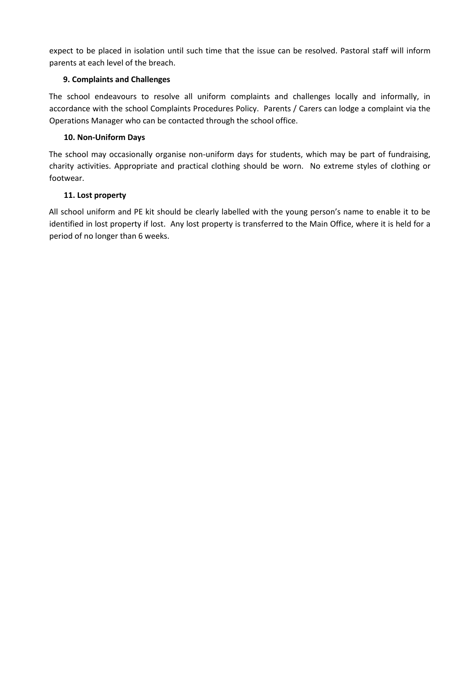expect to be placed in isolation until such time that the issue can be resolved. Pastoral staff will inform parents at each level of the breach.

## **9. Complaints and Challenges**

<span id="page-7-0"></span>The school endeavours to resolve all uniform complaints and challenges locally and informally, in accordance with the school Complaints Procedures Policy. Parents / Carers can lodge a complaint via the Operations Manager who can be contacted through the school office.

## **10. Non-Uniform Days**

<span id="page-7-1"></span>The school may occasionally organise non-uniform days for students, which may be part of fundraising, charity activities. Appropriate and practical clothing should be worn. No extreme styles of clothing or footwear.

# **11. Lost property**

<span id="page-7-2"></span>All school uniform and PE kit should be clearly labelled with the young person's name to enable it to be identified in lost property if lost. Any lost property is transferred to the Main Office, where it is held for a period of no longer than 6 weeks.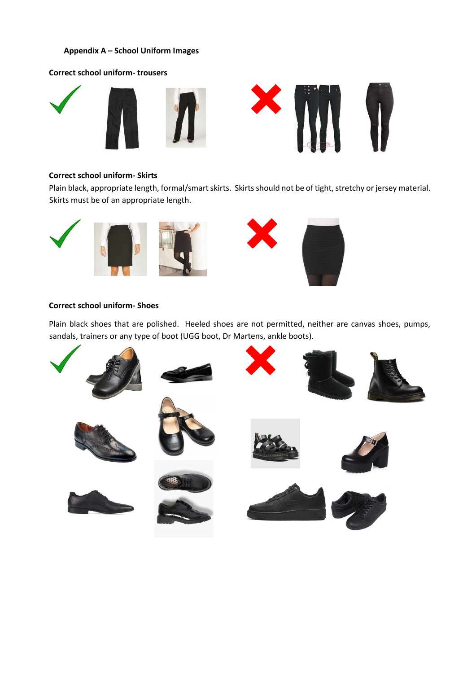### <span id="page-8-0"></span>**Appendix A – School Uniform Images**

#### **Correct school uniform- trousers**



#### **Correct school uniform- Skirts**

Plain black, appropriate length, formal/smart skirts. Skirts should not be of tight, stretchy or jersey material. Skirts must be of an appropriate length.



#### **Correct school uniform- Shoes**

Plain black shoes that are polished. Heeled shoes are not permitted, neither are canvas shoes, pumps, sandals, trainers or any type of boot (UGG boot, Dr Martens, ankle boots).

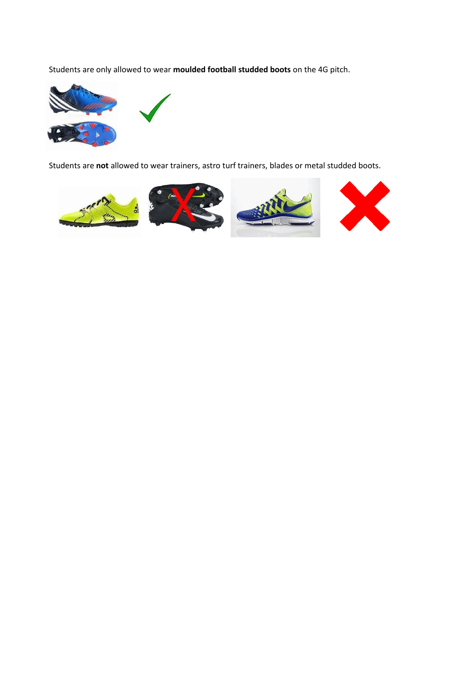Students are only allowed to wear **moulded football studded boots** on the 4G pitch.



Students are **not** allowed to wear trainers, astro turf trainers, blades or metal studded boots.